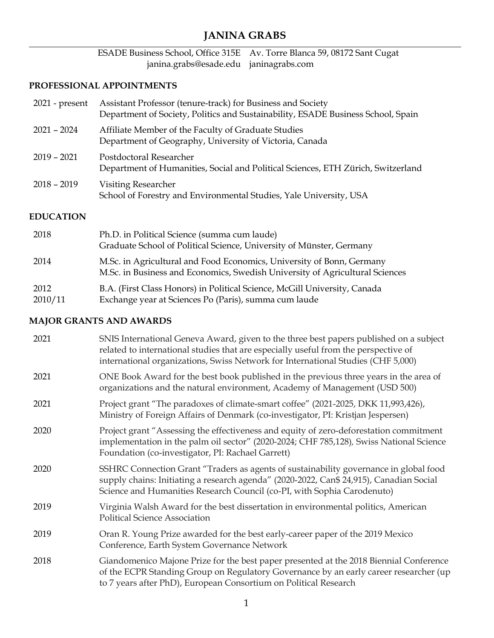# **JANINA GRABS**

#### ESADE Business School, Office 315E Av. Torre Blanca 59, 08172 Sant Cugat janina.grabs@esade.edu janinagrabs.com

### **PROFESSIONAL APPOINTMENTS**

| $2021$ - present | Assistant Professor (tenure-track) for Business and Society<br>Department of Society, Politics and Sustainability, ESADE Business School, Spain |
|------------------|-------------------------------------------------------------------------------------------------------------------------------------------------|
| $2021 - 2024$    | Affiliate Member of the Faculty of Graduate Studies<br>Department of Geography, University of Victoria, Canada                                  |
| $2019 - 2021$    | Postdoctoral Researcher<br>Department of Humanities, Social and Political Sciences, ETH Zürich, Switzerland                                     |
| $2018 - 2019$    | <b>Visiting Researcher</b><br>School of Forestry and Environmental Studies, Yale University, USA                                                |

#### **EDUCATION**

| 2018            | Ph.D. in Political Science (summa cum laude)<br>Graduate School of Political Science, University of Münster, Germany                                  |
|-----------------|-------------------------------------------------------------------------------------------------------------------------------------------------------|
| 2014            | M.Sc. in Agricultural and Food Economics, University of Bonn, Germany<br>M.Sc. in Business and Economics, Swedish University of Agricultural Sciences |
| 2012<br>2010/11 | B.A. (First Class Honors) in Political Science, McGill University, Canada<br>Exchange year at Sciences Po (Paris), summa cum laude                    |

### **MAJOR GRANTS AND AWARDS**

| 2021 | SNIS International Geneva Award, given to the three best papers published on a subject<br>related to international studies that are especially useful from the perspective of<br>international organizations, Swiss Network for International Studies (CHF 5,000) |
|------|-------------------------------------------------------------------------------------------------------------------------------------------------------------------------------------------------------------------------------------------------------------------|
| 2021 | ONE Book Award for the best book published in the previous three years in the area of<br>organizations and the natural environment, Academy of Management (USD 500)                                                                                               |
| 2021 | Project grant "The paradoxes of climate-smart coffee" (2021-2025, DKK 11,993,426),<br>Ministry of Foreign Affairs of Denmark (co-investigator, PI: Kristjan Jespersen)                                                                                            |
| 2020 | Project grant "Assessing the effectiveness and equity of zero-deforestation commitment<br>implementation in the palm oil sector" (2020-2024; CHF 785,128), Swiss National Science<br>Foundation (co-investigator, PI: Rachael Garrett)                            |
| 2020 | SSHRC Connection Grant "Traders as agents of sustainability governance in global food<br>supply chains: Initiating a research agenda" (2020-2022, Can\$ 24,915), Canadian Social<br>Science and Humanities Research Council (co-PI, with Sophia Carodenuto)       |
| 2019 | Virginia Walsh Award for the best dissertation in environmental politics, American<br><b>Political Science Association</b>                                                                                                                                        |
| 2019 | Oran R. Young Prize awarded for the best early-career paper of the 2019 Mexico<br>Conference, Earth System Governance Network                                                                                                                                     |
| 2018 | Giandomenico Majone Prize for the best paper presented at the 2018 Biennial Conference<br>of the ECPR Standing Group on Regulatory Governance by an early career researcher (up<br>to 7 years after PhD), European Consortium on Political Research               |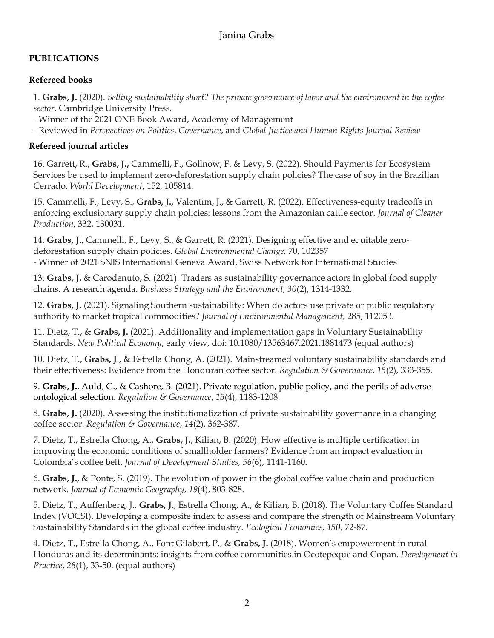# **PUBLICATIONS**

## **Refereed books**

1. **Grabs, J.** (2020). *Selling sustainability short? The private governance of labor and the environment in the coffee sector*. Cambridge University Press.

- Winner of the 2021 ONE Book Award, Academy of Management

- Reviewed in *Perspectives on Politics*, *Governance*, and *Global Justice and Human Rights Journal Review*

# **Refereed journal articles**

16. Garrett, R., **Grabs, J.,** Cammelli, F., Gollnow, F. & Levy, S. (2022). Should Payments for Ecosystem Services be used to implement zero-deforestation supply chain policies? The case of soy in the Brazilian Cerrado. *World Development*, 152, 105814.

15. Cammelli, F., Levy, S., **Grabs, J.,** Valentim, J., & Garrett, R. (2022). Effectiveness-equity tradeoffs in enforcing exclusionary supply chain policies: lessons from the Amazonian cattle sector. *Journal of Cleaner Production,* 332, 130031.

14. **Grabs, J.**, Cammelli, F., Levy, S., & Garrett, R. (2021). Designing effective and equitable zerodeforestation supply chain policies. *Global Environmental Change,* 70, 102357 - Winner of 2021 SNIS International Geneva Award, Swiss Network for International Studies

13. **Grabs, J.** & Carodenuto, S. (2021). Traders as sustainability governance actors in global food supply chains. A research agenda. *Business Strategy and the Environment, 30*(2), 1314-1332.

12. **Grabs, J.** (2021). Signaling Southern sustainability: When do actors use private or public regulatory authority to market tropical commodities? *Journal of Environmental Management,* 285, 112053.

11. Dietz, T., & **Grabs, J.** (2021). Additionality and implementation gaps in Voluntary Sustainability Standards. *New Political Economy*, early view, doi: 10.1080/13563467.2021.1881473 (equal authors)

10. Dietz, T., **Grabs, J**., & Estrella Chong, A. (2021). Mainstreamed voluntary sustainability standards and their effectiveness: Evidence from the Honduran coffee sector. *Regulation & Governance, 15*(2), 333-355.

9. **Grabs, J.**, Auld, G., & Cashore, B. (2021). Private regulation, public policy, and the perils of adverse ontological selection. *Regulation & Governance*, *15*(4), 1183-1208.

8. **Grabs, J.** (2020). Assessing the institutionalization of private sustainability governance in a changing coffee sector. *Regulation & Governance*, *14*(2), 362-387.

7. Dietz, T., Estrella Chong, A., **Grabs, J.**, Kilian, B. (2020). How effective is multiple certification in improving the economic conditions of smallholder farmers? Evidence from an impact evaluation in Colombia's coffee belt. *Journal of Development Studies, 56*(6), 1141-1160.

6. **Grabs, J.,** & Ponte, S. (2019). The evolution of power in the global coffee value chain and production network. *Journal of Economic Geography, 19*(4), 803-828.

5. Dietz, T., Auffenberg, J., **Grabs, J.**, Estrella Chong, A., & Kilian, B. (2018). The Voluntary Coffee Standard Index (VOCSI). Developing a composite index to assess and compare the strength of Mainstream Voluntary Sustainability Standards in the global coffee industry. *Ecological Economics, 150*, 72-87.

4. Dietz, T., Estrella Chong, A., Font Gilabert, P., & **Grabs, J.** (2018). Women's empowerment in rural Honduras and its determinants: insights from coffee communities in Ocotepeque and Copan. *Development in Practice*, *28*(1), 33-50. (equal authors)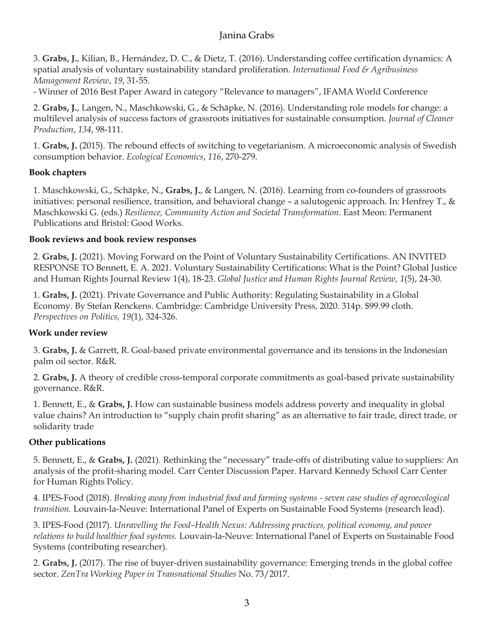3. **Grabs, J.**, Kilian, B., Hernández, D. C., & Dietz, T. (2016). Understanding coffee certification dynamics: A spatial analysis of voluntary sustainability standard proliferation. *International Food & Agribusiness Management Review*, *19*, 31-55.

- Winner of 2016 Best Paper Award in category "Relevance to managers", IFAMA World Conference

2. **Grabs, J.**, Langen, N., Maschkowski, G., & Schäpke, N. (2016). Understanding role models for change: a multilevel analysis of success factors of grassroots initiatives for sustainable consumption. *Journal of Cleaner Production*, *134*, 98-111.

1. **Grabs, J.** (2015). The rebound effects of switching to vegetarianism. A microeconomic analysis of Swedish consumption behavior. *Ecological Economics*, *116*, 270-279.

### **Book chapters**

1. Maschkowski, G., Schäpke, N., **Grabs, J.**, & Langen, N. (2016). Learning from co-founders of grassroots initiatives: personal resilience, transition, and behavioral change – a salutogenic approach. In: Henfrey T., & Maschkowski G. (eds.) *Resilience, Community Action and Societal Transformation*. East Meon: Permanent Publications and Bristol: Good Works.

### **Book reviews and book review responses**

2. **Grabs, J.** (2021). Moving Forward on the Point of Voluntary Sustainability Certifications. AN INVITED RESPONSE TO Bennett, E. A. 2021. Voluntary Sustainability Certifications: What is the Point? Global Justice and Human Rights Journal Review 1(4), 18-23. *Global Justice and Human Rights Journal Review, 1*(5), 24-30.

1. **Grabs, J.** (2021). Private Governance and Public Authority: Regulating Sustainability in a Global Economy. By Stefan Renckens. Cambridge: Cambridge University Press, 2020. 314p. \$99.99 cloth. *Perspectives on Politics, 19*(1), 324-326.

# **Work under review**

3. **Grabs, J.** & Garrett, R. Goal-based private environmental governance and its tensions in the Indonesian palm oil sector. R&R.

2. **Grabs, J.** A theory of credible cross-temporal corporate commitments as goal-based private sustainability governance. R&R.

1. Bennett, E., & **Grabs, J.** How can sustainable business models address poverty and inequality in global value chains? An introduction to "supply chain profit sharing" as an alternative to fair trade, direct trade, or solidarity trade

# **Other publications**

5. Bennett, E., & **Grabs, J.** (2021). Rethinking the "necessary" trade-offs of distributing value to suppliers: An analysis of the profit-sharing model. Carr Center Discussion Paper. Harvard Kennedy School Carr Center for Human Rights Policy.

4. IPES-Food (2018). *Breaking away from industrial food and farming systems - seven case studies of agroecological transition.* Louvain-la-Neuve: International Panel of Experts on Sustainable Food Systems (research lead).

3. IPES-Food (2017). *Unravelling the Food–Health Nexus: Addressing practices, political economy, and power relations to build healthier food systems.* Louvain-la-Neuve: International Panel of Experts on Sustainable Food Systems (contributing researcher).

2. **Grabs, J.** (2017). The rise of buyer-driven sustainability governance: Emerging trends in the global coffee sector. *ZenTra Working Paper in Transnational Studies* No. 73/2017.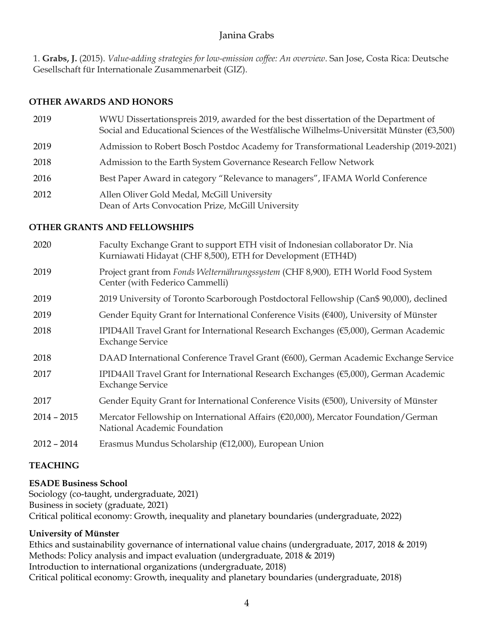1. **Grabs, J.** (2015). *Value-adding strategies for low-emission coffee: An overview*. San Jose, Costa Rica: Deutsche Gesellschaft für Internationale Zusammenarbeit (GIZ).

#### **OTHER AWARDS AND HONORS**

 WWU Dissertationspreis 2019, awarded for the best dissertation of the Department of Social and Educational Sciences of the Westfälische Wilhelms-Universität Münster ( $\epsilon$ 3,500) Admission to Robert Bosch Postdoc Academy for Transformational Leadership (2019-2021) Admission to the Earth System Governance Research Fellow Network Best Paper Award in category "Relevance to managers", IFAMA World Conference Allen Oliver Gold Medal, McGill University Dean of Arts Convocation Prize, McGill University

#### **OTHER GRANTS AND FELLOWSHIPS**

| 2020          | Faculty Exchange Grant to support ETH visit of Indonesian collaborator Dr. Nia<br>Kurniawati Hidayat (CHF 8,500), ETH for Development (ETH4D) |
|---------------|-----------------------------------------------------------------------------------------------------------------------------------------------|
| 2019          | Project grant from Fonds Welternährungssystem (CHF 8,900), ETH World Food System<br>Center (with Federico Cammelli)                           |
| 2019          | 2019 University of Toronto Scarborough Postdoctoral Fellowship (Can\$ 90,000), declined                                                       |
| 2019          | Gender Equity Grant for International Conference Visits $(6400)$ , University of Münster                                                      |
| 2018          | IPID4All Travel Grant for International Research Exchanges (€5,000), German Academic<br><b>Exchange Service</b>                               |
| 2018          | DAAD International Conference Travel Grant (€600), German Academic Exchange Service                                                           |
| 2017          | IPID4All Travel Grant for International Research Exchanges (€5,000), German Academic<br><b>Exchange Service</b>                               |
| 2017          | Gender Equity Grant for International Conference Visits (€500), University of Münster                                                         |
| $2014 - 2015$ | Mercator Fellowship on International Affairs (€20,000), Mercator Foundation/German<br>National Academic Foundation                            |
| $2012 - 2014$ | Erasmus Mundus Scholarship (€12,000), European Union                                                                                          |

### **TEACHING**

### **ESADE Business School**

Sociology (co-taught, undergraduate, 2021) Business in society (graduate, 2021) Critical political economy: Growth, inequality and planetary boundaries (undergraduate, 2022)

#### **University of Münster**

Ethics and sustainability governance of international value chains (undergraduate, 2017, 2018 & 2019) Methods: Policy analysis and impact evaluation (undergraduate, 2018 & 2019) Introduction to international organizations (undergraduate, 2018) Critical political economy: Growth, inequality and planetary boundaries (undergraduate, 2018)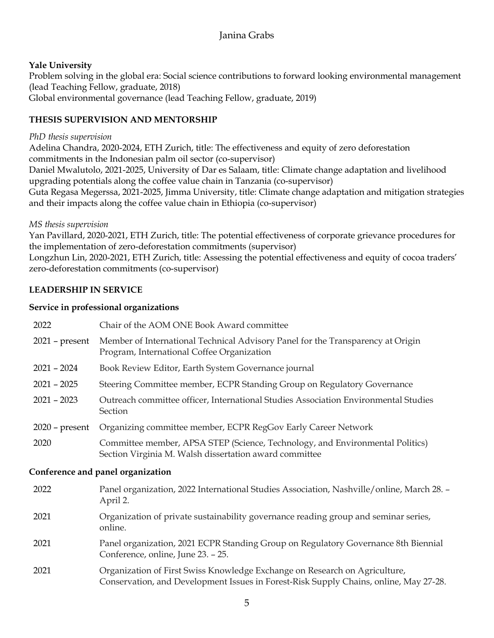### **Yale University**

Problem solving in the global era: Social science contributions to forward looking environmental management (lead Teaching Fellow, graduate, 2018) Global environmental governance (lead Teaching Fellow, graduate, 2019)

### **THESIS SUPERVISION AND MENTORSHIP**

#### *PhD thesis supervision*

Adelina Chandra, 2020-2024, ETH Zurich, title: The effectiveness and equity of zero deforestation commitments in the Indonesian palm oil sector (co-supervisor) Daniel Mwalutolo, 2021-2025, University of Dar es Salaam, title: Climate change adaptation and livelihood upgrading potentials along the coffee value chain in Tanzania (co-supervisor) Guta Regasa Megerssa, 2021-2025, Jimma University, title: Climate change adaptation and mitigation strategies and their impacts along the coffee value chain in Ethiopia (co-supervisor)

#### *MS thesis supervision*

Yan Pavillard, 2020-2021, ETH Zurich, title: The potential effectiveness of corporate grievance procedures for the implementation of zero-deforestation commitments (supervisor) Longzhun Lin, 2020-2021, ETH Zurich, title: Assessing the potential effectiveness and equity of cocoa traders' zero-deforestation commitments (co-supervisor)

### **LEADERSHIP IN SERVICE**

#### **Service in professional organizations**

| 2022                              | Chair of the AOM ONE Book Award committee                                                                                               |  |
|-----------------------------------|-----------------------------------------------------------------------------------------------------------------------------------------|--|
| $2021$ – present                  | Member of International Technical Advisory Panel for the Transparency at Origin<br>Program, International Coffee Organization           |  |
| $2021 - 2024$                     | Book Review Editor, Earth System Governance journal                                                                                     |  |
| $2021 - 2025$                     | Steering Committee member, ECPR Standing Group on Regulatory Governance                                                                 |  |
| $2021 - 2023$                     | Outreach committee officer, International Studies Association Environmental Studies<br>Section                                          |  |
| $2020$ – present                  | Organizing committee member, ECPR RegGov Early Career Network                                                                           |  |
| 2020                              | Committee member, APSA STEP (Science, Technology, and Environmental Politics)<br>Section Virginia M. Walsh dissertation award committee |  |
| Conference and panel organization |                                                                                                                                         |  |
| 2022                              | Panel organization, 2022 International Studies Association, Nashville/online, March 28. -<br>April 2.                                   |  |
|                                   |                                                                                                                                         |  |

- 2021 Organization of private sustainability governance reading group and seminar series, online.
- 2021 Panel organization, 2021 ECPR Standing Group on Regulatory Governance 8th Biennial Conference, online, June 23. – 25.
- 2021 Organization of First Swiss Knowledge Exchange on Research on Agriculture, Conservation, and Development Issues in Forest-Risk Supply Chains, online, May 27-28.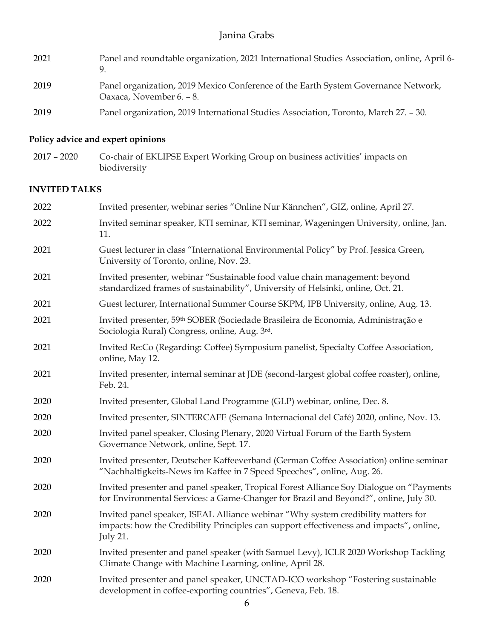| 2021 | Panel and roundtable organization, 2021 International Studies Association, online, April 6-<br>9               |
|------|----------------------------------------------------------------------------------------------------------------|
| 2019 | Panel organization, 2019 Mexico Conference of the Earth System Governance Network,<br>Oaxaca, November 6. – 8. |
| 2019 | Panel organization, 2019 International Studies Association, Toronto, March 27. - 30.                           |

# **Policy advice and expert opinions**

2017 – 2020 Co-chair of EKLIPSE Expert Working Group on business activities' impacts on biodiversity

# **INVITED TALKS**

| 2022 | Invited presenter, webinar series "Online Nur Kännchen", GIZ, online, April 27.                                                                                                          |
|------|------------------------------------------------------------------------------------------------------------------------------------------------------------------------------------------|
| 2022 | Invited seminar speaker, KTI seminar, KTI seminar, Wageningen University, online, Jan.<br>11.                                                                                            |
| 2021 | Guest lecturer in class "International Environmental Policy" by Prof. Jessica Green,<br>University of Toronto, online, Nov. 23.                                                          |
| 2021 | Invited presenter, webinar "Sustainable food value chain management: beyond<br>standardized frames of sustainability", University of Helsinki, online, Oct. 21.                          |
| 2021 | Guest lecturer, International Summer Course SKPM, IPB University, online, Aug. 13.                                                                                                       |
| 2021 | Invited presenter, 59 <sup>th</sup> SOBER (Sociedade Brasileira de Economia, Administração e<br>Sociologia Rural) Congress, online, Aug. 3rd.                                            |
| 2021 | Invited Re:Co (Regarding: Coffee) Symposium panelist, Specialty Coffee Association,<br>online, May 12.                                                                                   |
| 2021 | Invited presenter, internal seminar at JDE (second-largest global coffee roaster), online,<br>Feb. 24.                                                                                   |
| 2020 | Invited presenter, Global Land Programme (GLP) webinar, online, Dec. 8.                                                                                                                  |
| 2020 | Invited presenter, SINTERCAFE (Semana Internacional del Café) 2020, online, Nov. 13.                                                                                                     |
| 2020 | Invited panel speaker, Closing Plenary, 2020 Virtual Forum of the Earth System<br>Governance Network, online, Sept. 17.                                                                  |
| 2020 | Invited presenter, Deutscher Kaffeeverband (German Coffee Association) online seminar<br>"Nachhaltigkeits-News im Kaffee in 7 Speed Speeches", online, Aug. 26.                          |
| 2020 | Invited presenter and panel speaker, Tropical Forest Alliance Soy Dialogue on "Payments<br>for Environmental Services: a Game-Changer for Brazil and Beyond?", online, July 30.          |
| 2020 | Invited panel speaker, ISEAL Alliance webinar "Why system credibility matters for<br>impacts: how the Credibility Principles can support effectiveness and impacts", online,<br>July 21. |
| 2020 | Invited presenter and panel speaker (with Samuel Levy), ICLR 2020 Workshop Tackling<br>Climate Change with Machine Learning, online, April 28.                                           |
| 2020 | Invited presenter and panel speaker, UNCTAD-ICO workshop "Fostering sustainable<br>development in coffee-exporting countries", Geneva, Feb. 18.                                          |
|      | $\sim$ 6                                                                                                                                                                                 |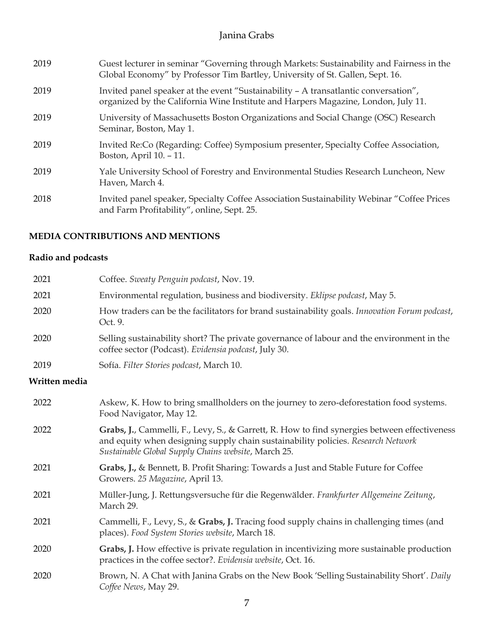| 2019 | Guest lecturer in seminar "Governing through Markets: Sustainability and Fairness in the<br>Global Economy" by Professor Tim Bartley, University of St. Gallen, Sept. 16. |
|------|---------------------------------------------------------------------------------------------------------------------------------------------------------------------------|
| 2019 | Invited panel speaker at the event "Sustainability - A transatlantic conversation",<br>organized by the California Wine Institute and Harpers Magazine, London, July 11.  |
| 2019 | University of Massachusetts Boston Organizations and Social Change (OSC) Research<br>Seminar, Boston, May 1.                                                              |
| 2019 | Invited Re:Co (Regarding: Coffee) Symposium presenter, Specialty Coffee Association,<br>Boston, April 10. - 11.                                                           |
| 2019 | Yale University School of Forestry and Environmental Studies Research Luncheon, New<br>Haven, March 4.                                                                    |
| 2018 | Invited panel speaker, Specialty Coffee Association Sustainability Webinar "Coffee Prices"<br>and Farm Profitability", online, Sept. 25.                                  |

### **MEDIA CONTRIBUTIONS AND MENTIONS**

# **Radio and podcasts**

| 2021          | Coffee. Sweaty Penguin podcast, Nov. 19.                                                                                                                                                                                                |
|---------------|-----------------------------------------------------------------------------------------------------------------------------------------------------------------------------------------------------------------------------------------|
| 2021          | Environmental regulation, business and biodiversity. Eklipse podcast, May 5.                                                                                                                                                            |
| 2020          | How traders can be the facilitators for brand sustainability goals. Innovation Forum podcast,<br>Oct. 9.                                                                                                                                |
| 2020          | Selling sustainability short? The private governance of labour and the environment in the<br>coffee sector (Podcast). Evidensia podcast, July 30.                                                                                       |
| 2019          | Sofía. Filter Stories podcast, March 10.                                                                                                                                                                                                |
| Written media |                                                                                                                                                                                                                                         |
| 2022          | Askew, K. How to bring smallholders on the journey to zero-deforestation food systems.<br>Food Navigator, May 12.                                                                                                                       |
| 2022          | Grabs, J., Cammelli, F., Levy, S., & Garrett, R. How to find synergies between effectiveness<br>and equity when designing supply chain sustainability policies. Research Network<br>Sustainable Global Supply Chains website, March 25. |
| 2021          | Grabs, J., & Bennett, B. Profit Sharing: Towards a Just and Stable Future for Coffee<br>Growers. 25 Magazine, April 13.                                                                                                                 |
| 2021          | Müller-Jung, J. Rettungsversuche für die Regenwälder. Frankfurter Allgemeine Zeitung,<br>March 29.                                                                                                                                      |
| 2021          | Cammelli, F., Levy, S., & Grabs, J. Tracing food supply chains in challenging times (and<br>places). Food System Stories website, March 18.                                                                                             |
| 2020          | Grabs, J. How effective is private regulation in incentivizing more sustainable production<br>practices in the coffee sector?. Evidensia website, Oct. 16.                                                                              |
| 2020          | Brown, N. A Chat with Janina Grabs on the New Book 'Selling Sustainability Short'. Daily<br>Coffee News, May 29.                                                                                                                        |
|               |                                                                                                                                                                                                                                         |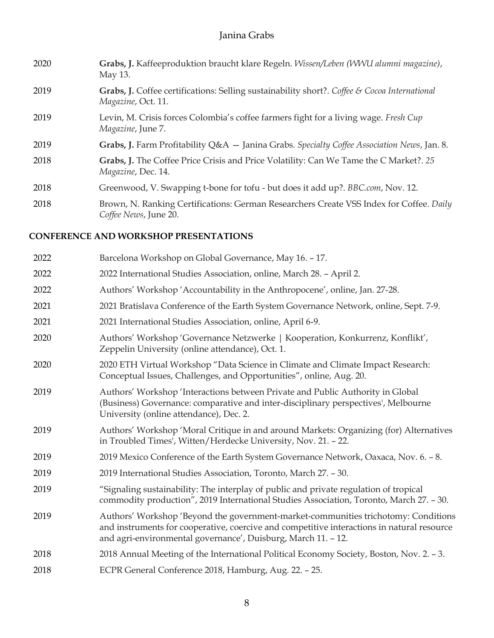| 2020 | Grabs, J. Kaffeeproduktion braucht klare Regeln. Wissen/Leben (WWU alumni magazine),<br>May 13.                    |
|------|--------------------------------------------------------------------------------------------------------------------|
| 2019 | Grabs, J. Coffee certifications: Selling sustainability short?. Coffee & Cocoa International<br>Magazine, Oct. 11. |
| 2019 | Levin, M. Crisis forces Colombia's coffee farmers fight for a living wage. Fresh Cup<br>Magazine, June 7.          |
| 2019 | Grabs, J. Farm Profitability $Q&A$ – Janina Grabs. Specialty Coffee Association News, Jan. 8.                      |
| 2018 | Grabs, J. The Coffee Price Crisis and Price Volatility: Can We Tame the C Market?. 25<br>Magazine, Dec. 14.        |
| 2018 | Greenwood, V. Swapping t-bone for tofu - but does it add up?. BBC.com, Nov. 12.                                    |
| 2018 | Brown, N. Ranking Certifications: German Researchers Create VSS Index for Coffee. Daily<br>Coffee News, June 20.   |

### **CONFERENCE AND WORKSHOP PRESENTATIONS**

| 2022 | Barcelona Workshop on Global Governance, May 16. - 17.                                                                                                                                                                                            |
|------|---------------------------------------------------------------------------------------------------------------------------------------------------------------------------------------------------------------------------------------------------|
| 2022 | 2022 International Studies Association, online, March 28. - April 2.                                                                                                                                                                              |
| 2022 | Authors' Workshop 'Accountability in the Anthropocene', online, Jan. 27-28.                                                                                                                                                                       |
| 2021 | 2021 Bratislava Conference of the Earth System Governance Network, online, Sept. 7-9.                                                                                                                                                             |
| 2021 | 2021 International Studies Association, online, April 6-9.                                                                                                                                                                                        |
| 2020 | Authors' Workshop 'Governance Netzwerke   Kooperation, Konkurrenz, Konflikt',<br>Zeppelin University (online attendance), Oct. 1.                                                                                                                 |
| 2020 | 2020 ETH Virtual Workshop "Data Science in Climate and Climate Impact Research:<br>Conceptual Issues, Challenges, and Opportunities", online, Aug. 20.                                                                                            |
| 2019 | Authors' Workshop 'Interactions between Private and Public Authority in Global<br>(Business) Governance: comparative and inter-disciplinary perspectives', Melbourne<br>University (online attendance), Dec. 2.                                   |
| 2019 | Authors' Workshop 'Moral Critique in and around Markets: Organizing (for) Alternatives<br>in Troubled Times', Witten/Herdecke University, Nov. 21. - 22.                                                                                          |
| 2019 | 2019 Mexico Conference of the Earth System Governance Network, Oaxaca, Nov. 6. - 8.                                                                                                                                                               |
| 2019 | 2019 International Studies Association, Toronto, March 27. - 30.                                                                                                                                                                                  |
| 2019 | "Signaling sustainability: The interplay of public and private regulation of tropical<br>commodity production", 2019 International Studies Association, Toronto, March 27. - 30.                                                                  |
| 2019 | Authors' Workshop 'Beyond the government-market-communities trichotomy: Conditions<br>and instruments for cooperative, coercive and competitive interactions in natural resource<br>and agri-environmental governance', Duisburg, March 11. - 12. |
| 2018 | 2018 Annual Meeting of the International Political Economy Society, Boston, Nov. 2. - 3.                                                                                                                                                          |
| 2018 | ECPR General Conference 2018, Hamburg, Aug. 22. - 25.                                                                                                                                                                                             |
|      |                                                                                                                                                                                                                                                   |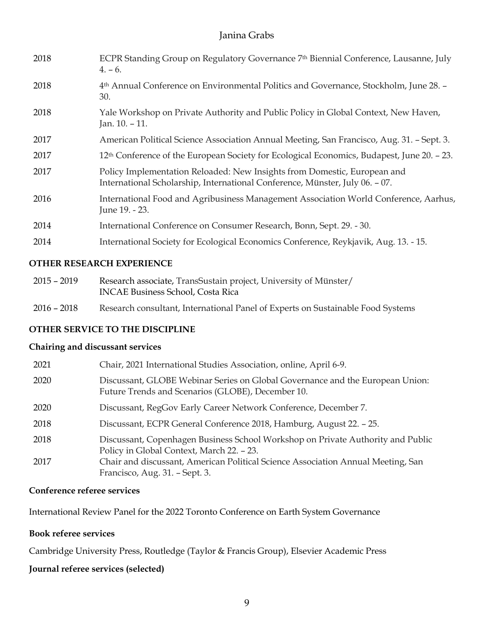| 2018 | ECPR Standing Group on Regulatory Governance 7th Biennial Conference, Lausanne, July<br>$4. - 6.$                                                        |
|------|----------------------------------------------------------------------------------------------------------------------------------------------------------|
| 2018 | 4 <sup>th</sup> Annual Conference on Environmental Politics and Governance, Stockholm, June 28. -<br>30.                                                 |
| 2018 | Yale Workshop on Private Authority and Public Policy in Global Context, New Haven,<br>Jan. $10. - 11$ .                                                  |
| 2017 | American Political Science Association Annual Meeting, San Francisco, Aug. 31. - Sept. 3.                                                                |
| 2017 | 12 <sup>th</sup> Conference of the European Society for Ecological Economics, Budapest, June 20. – 23.                                                   |
| 2017 | Policy Implementation Reloaded: New Insights from Domestic, European and<br>International Scholarship, International Conference, Münster, July 06. - 07. |
| 2016 | International Food and Agribusiness Management Association World Conference, Aarhus,<br>June 19. - 23.                                                   |
| 2014 | International Conference on Consumer Research, Bonn, Sept. 29. - 30.                                                                                     |
| 2014 | International Society for Ecological Economics Conference, Reykjavik, Aug. 13. - 15.                                                                     |

#### **OTHER RESEARCH EXPERIENCE**

- 2015 2019 Research associate, TransSustain project, University of Münster/ INCAE Business School, Costa Rica
- 2016 2018 Research consultant, International Panel of Experts on Sustainable Food Systems

### **OTHER SERVICE TO THE DISCIPLINE**

#### **Chairing and discussant services**

| 2021 | Chair, 2021 International Studies Association, online, April 6-9.                                                                  |
|------|------------------------------------------------------------------------------------------------------------------------------------|
| 2020 | Discussant, GLOBE Webinar Series on Global Governance and the European Union:<br>Future Trends and Scenarios (GLOBE), December 10. |
| 2020 | Discussant, RegGov Early Career Network Conference, December 7.                                                                    |
| 2018 | Discussant, ECPR General Conference 2018, Hamburg, August 22. - 25.                                                                |
| 2018 | Discussant, Copenhagen Business School Workshop on Private Authority and Public<br>Policy in Global Context, March 22. - 23.       |
| 2017 | Chair and discussant, American Political Science Association Annual Meeting, San<br>Francisco, Aug. 31. - Sept. 3.                 |

#### **Conference referee services**

International Review Panel for the 2022 Toronto Conference on Earth System Governance

#### **Book referee services**

Cambridge University Press, Routledge (Taylor & Francis Group), Elsevier Academic Press

#### **Journal referee services (selected)**